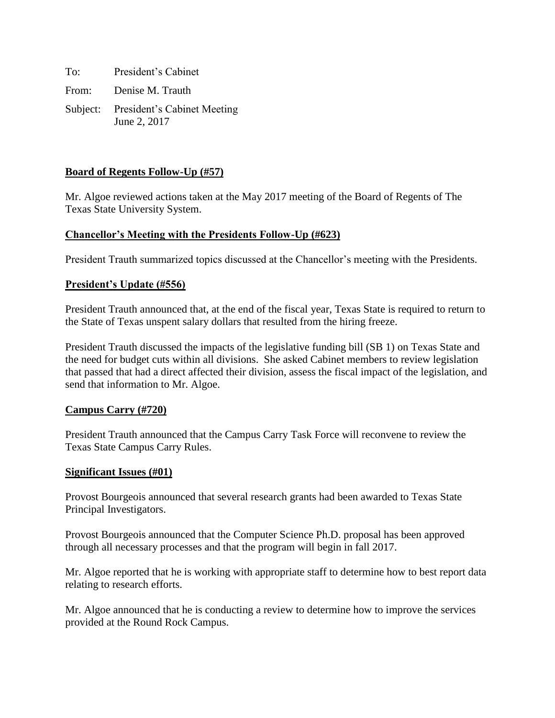To: President's Cabinet From: Denise M. Trauth Subject: President's Cabinet Meeting June 2, 2017

# **Board of Regents Follow-Up (#57)**

Mr. Algoe reviewed actions taken at the May 2017 meeting of the Board of Regents of The Texas State University System.

## **Chancellor's Meeting with the Presidents Follow-Up (#623)**

President Trauth summarized topics discussed at the Chancellor's meeting with the Presidents.

### **President's Update (#556)**

President Trauth announced that, at the end of the fiscal year, Texas State is required to return to the State of Texas unspent salary dollars that resulted from the hiring freeze.

President Trauth discussed the impacts of the legislative funding bill (SB 1) on Texas State and the need for budget cuts within all divisions. She asked Cabinet members to review legislation that passed that had a direct affected their division, assess the fiscal impact of the legislation, and send that information to Mr. Algoe.

### **Campus Carry (#720)**

President Trauth announced that the Campus Carry Task Force will reconvene to review the Texas State Campus Carry Rules.

#### **Significant Issues (#01)**

Provost Bourgeois announced that several research grants had been awarded to Texas State Principal Investigators.

Provost Bourgeois announced that the Computer Science Ph.D. proposal has been approved through all necessary processes and that the program will begin in fall 2017.

Mr. Algoe reported that he is working with appropriate staff to determine how to best report data relating to research efforts.

Mr. Algoe announced that he is conducting a review to determine how to improve the services provided at the Round Rock Campus.